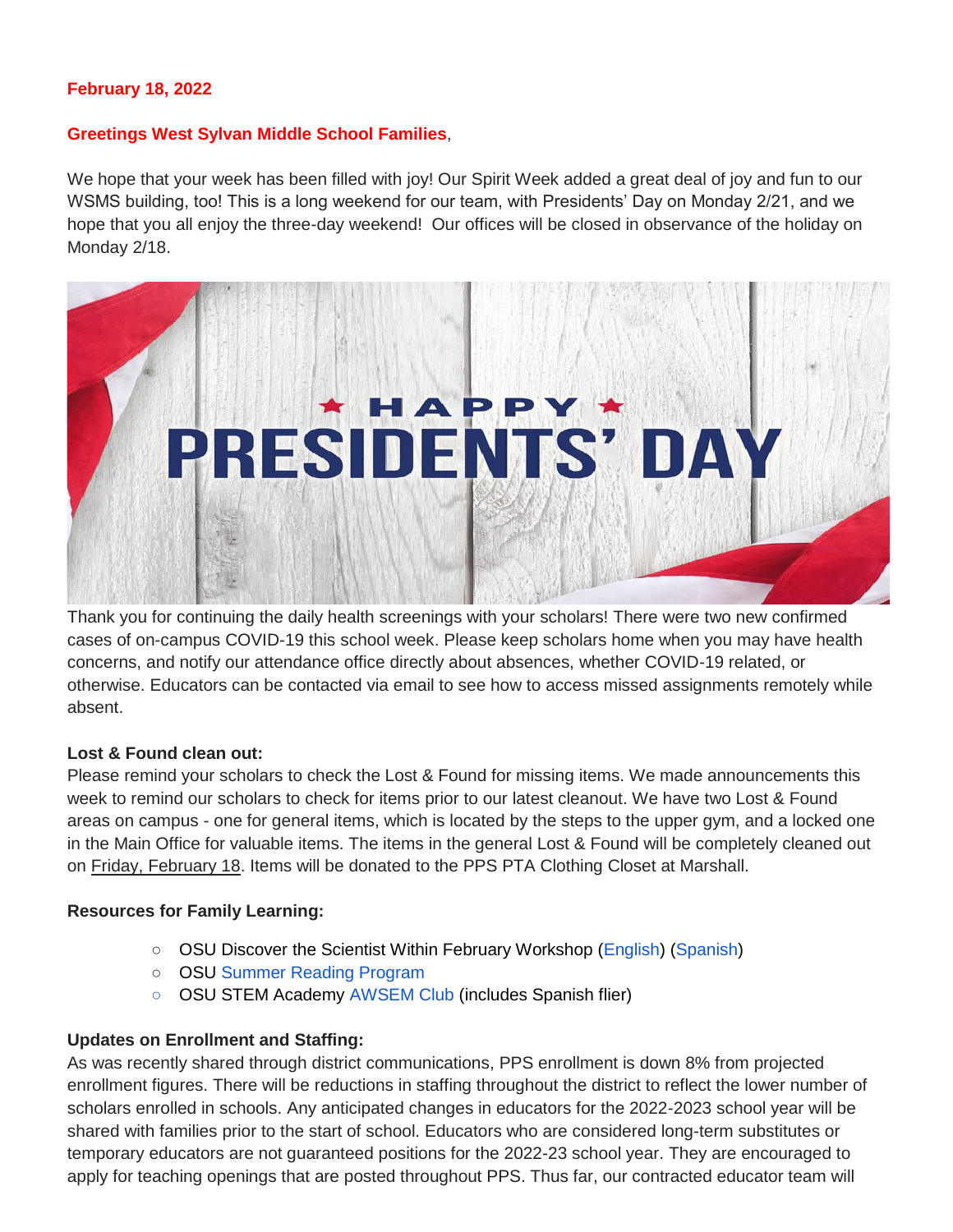### **February 18, 2022**

#### **Greetings West Sylvan Middle School Families**,

We hope that your week has been filled with joy! Our Spirit Week added a great deal of joy and fun to our WSMS building, too! This is a long weekend for our team, with Presidents' Day on Monday 2/21, and we hope that you all enjoy the three-day weekend! Our offices will be closed in observance of the holiday on Monday 2/18.



Thank you for continuing the daily health screenings with your scholars! There were two new confirmed cases of on-campus COVID-19 this school week. Please keep scholars home when you may have health concerns, and notify our attendance office directly about absences, whether COVID-19 related, or otherwise. Educators can be contacted via email to see how to access missed assignments remotely while absent.

#### **Lost & Found clean out:**

Please remind your scholars to check the Lost & Found for missing items. We made announcements this week to remind our scholars to check for items prior to our latest cleanout. We have two Lost & Found areas on campus - one for general items, which is located by the steps to the upper gym, and a locked one in the Main Office for valuable items. The items in the general Lost & Found will be completely cleaned out on Friday, February 18. Items will be donated to the PPS PTA Clothing Closet at Marshall.

#### **Resources for Family Learning:**

- OSU Discover the Scientist Within February Workshop [\(English\)](https://www.pps.net/cms/lib/OR01913224/Centricity/Domain/254/FebDSW2022Flyer.pdf) [\(Spanish\)](https://www.pps.net/cms/lib/OR01913224/Centricity/Domain/254/FebDSW2022FlyerSpanish.pdf)
- OSU [Summer Reading Program](https://www.pps.net/cms/lib/OR01913224/Centricity/Domain/254/OSU-reading-summer-2022.pdf)
- OSU STEM Academy [AWSEM Club](https://www.pps.net/cms/lib/OR01913224/Centricity/Domain/254/AWSEM_Flyer_Combined_General.pdf) (includes Spanish flier)

#### **Updates on Enrollment and Staffing:**

As was recently shared through district communications, PPS enrollment is down 8% from projected enrollment figures. There will be reductions in staffing throughout the district to reflect the lower number of scholars enrolled in schools. Any anticipated changes in educators for the 2022-2023 school year will be shared with families prior to the start of school. Educators who are considered long-term substitutes or temporary educators are not guaranteed positions for the 2022-23 school year. They are encouraged to apply for teaching openings that are posted throughout PPS. Thus far, our contracted educator team will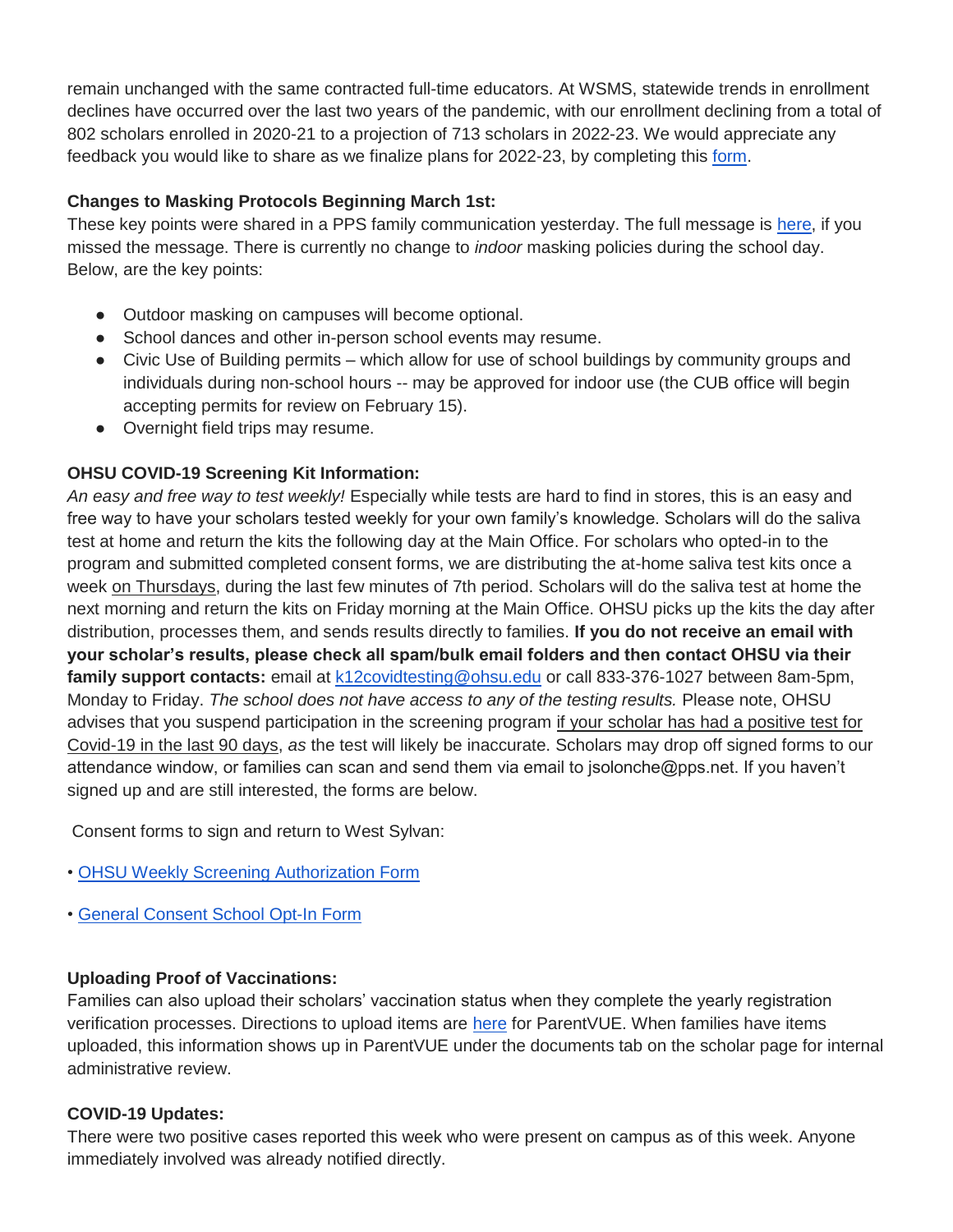remain unchanged with the same contracted full-time educators. At WSMS, statewide trends in enrollment declines have occurred over the last two years of the pandemic, with our enrollment declining from a total of 802 scholars enrolled in 2020-21 to a projection of 713 scholars in 2022-23. We would appreciate any feedback you would like to share as we finalize plans for 2022-23, by completing this [form.](https://forms.gle/zBaNoQLQCMFkAJFR9)

## **Changes to Masking Protocols Beginning March 1st:**

These key points were shared in a PPS family communication yesterday. The full message is [here,](https://drive.google.com/file/d/13aBVxIetQ38YfjAiIGkBfWhyu0upmQDy/view?usp=sharing) if you missed the message. There is currently no change to *indoor* masking policies during the school day. Below, are the key points:

- Outdoor masking on campuses will become optional.
- School dances and other in-person school events may resume.
- Civic Use of Building permits which allow for use of school buildings by community groups and individuals during non-school hours -- may be approved for indoor use (the CUB office will begin accepting permits for review on February 15).
- Overnight field trips may resume.

## **OHSU COVID-19 Screening Kit Information:**

*An easy and free way to test weekly!* Especially while tests are hard to find in stores, this is an easy and free way to have your scholars tested weekly for your own family's knowledge. Scholars will do the saliva test at home and return the kits the following day at the Main Office. For scholars who opted-in to the program and submitted completed consent forms, we are distributing the at-home saliva test kits once a week on Thursdays, during the last few minutes of 7th period. Scholars will do the saliva test at home the next morning and return the kits on Friday morning at the Main Office. OHSU picks up the kits the day after distribution, processes them, and sends results directly to families. **If you do not receive an email with your scholar's results, please check all spam/bulk email folders and then contact OHSU via their family support contacts:** email at [k12covidtesting@ohsu.edu](mailto:k12covidtesting@ohsu.edu) or call 833-376-1027 between 8am-5pm, Monday to Friday. *The school does not have access to any of the testing results.* Please note, OHSU advises that you suspend participation in the screening program if your scholar has had a positive test for Covid-19 in the last 90 days, *as* the test will likely be inaccurate. Scholars may drop off signed forms to our attendance window, or families can scan and send them via email to jsolonche@pps.net. If you haven't signed up and are still interested, the forms are below.

Consent forms to sign and return to West Sylvan:

- [•](https://drive.google.com/file/d/1WKfLwknOXIYGfjiVTURKB7wvlQW8DAhR/view?usp=sharing) [OHSU Weekly Screening Authorization Form](https://drive.google.com/file/d/1WKfLwknOXIYGfjiVTURKB7wvlQW8DAhR/view?usp=sharing)
- [•](https://drive.google.com/file/d/1JELJW3M6_gp013Dp_Z7QDpvKmsqC5G-S/view?usp=sharing) [General Consent School Opt-In Form](https://drive.google.com/file/d/1JELJW3M6_gp013Dp_Z7QDpvKmsqC5G-S/view?usp=sharing)

### **Uploading Proof of Vaccinations:**

Families can also upload their scholars' vaccination status when they complete the yearly registration verification processes. Directions to upload items are [here](https://docs.google.com/document/d/1AxHhVVEjAqJxV1Vuh9PnfwkZHcp-Tde_x6iFOOEy58Y/edit) for ParentVUE. When families have items uploaded, this information shows up in ParentVUE under the documents tab on the scholar page for internal administrative review.

### **COVID-19 Updates:**

There were two positive cases reported this week who were present on campus as of this week. Anyone immediately involved was already notified directly.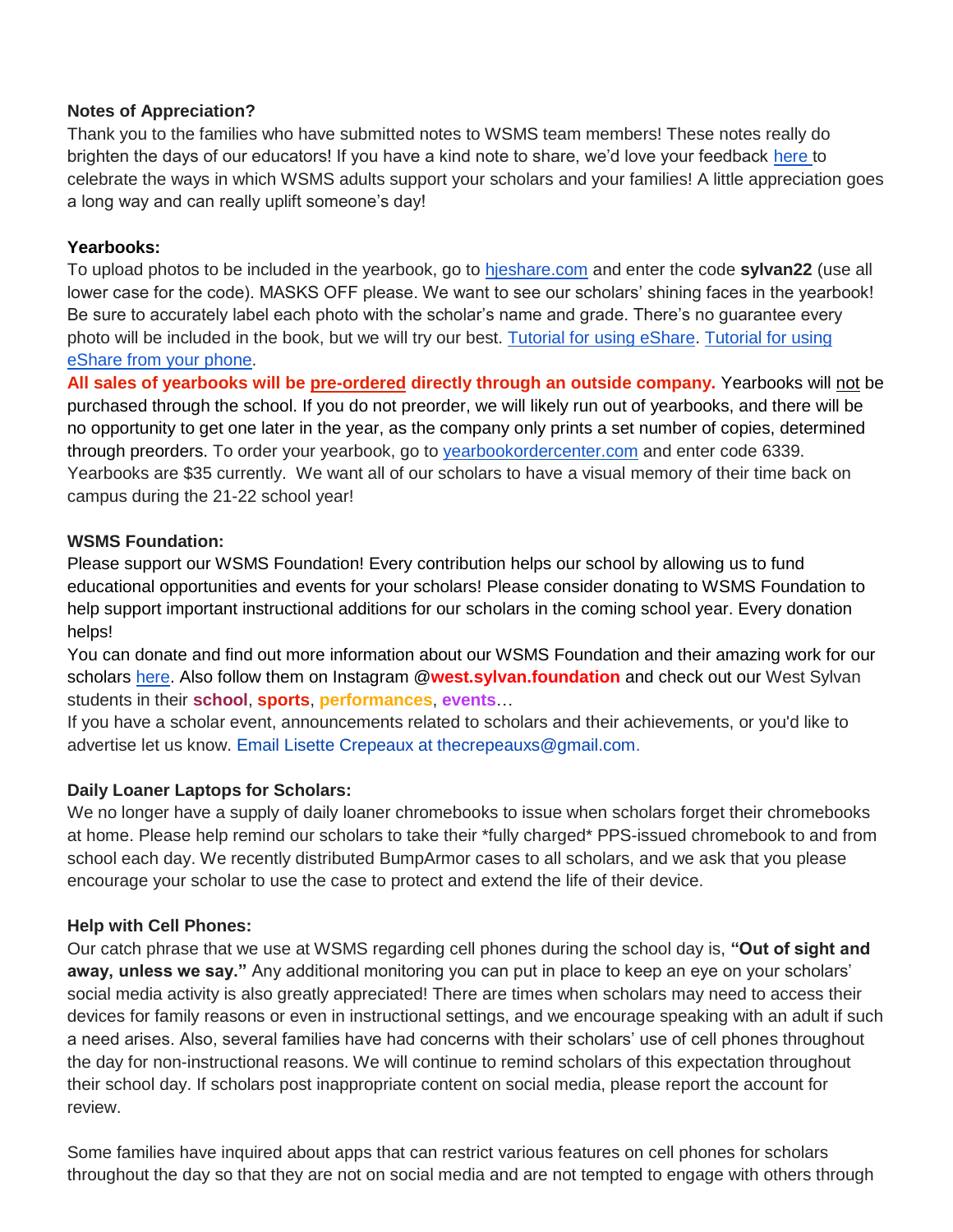### **Notes of Appreciation?**

Thank you to the families who have submitted notes to WSMS team members! These notes really do brighten the days of our educators! If you have a kind note to share, we'd love your feedback [here t](https://forms.gle/3TsJKYDfcfbLhiKu7)o celebrate the ways in which WSMS adults support your scholars and your families! A little appreciation goes a long way and can really uplift someone's day!

#### **Yearbooks:**

To upload photos to be included in the yearbook, go to [hjeshare.com](https://hjeshare.com/eShare/) and enter the code **sylvan22** (use all lower case for the code). MASKS OFF please. We want to see our scholars' shining faces in the yearbook! Be sure to accurately label each photo with the scholar's name and grade. There's no guarantee every photo will be included in the book, but we will try our best. [Tutorial for using eShare.](https://herffjones.wistia.com/medias/h1e7m2ythz) [Tutorial for using](https://herffjones.wistia.com/medias/62ap3qbbp3)  [eShare from your phone.](https://herffjones.wistia.com/medias/62ap3qbbp3)

**All sales of yearbooks will be pre-ordered directly through an outside company.** Yearbooks will not be purchased through the school. If you do not preorder, we will likely run out of yearbooks, and there will be no opportunity to get one later in the year, as the company only prints a set number of copies, determined through preorders. To order your yearbook, go to [yearbookordercenter.com](http://yearbookordercenter.com/) and enter code 6339. Yearbooks are \$35 currently. We want all of our scholars to have a visual memory of their time back on campus during the 21-22 school year!

#### **WSMS Foundation:**

Please support our WSMS Foundation! Every contribution helps our school by allowing us to fund educational opportunities and events for your scholars! Please consider donating to WSMS Foundation to help support important instructional additions for our scholars in the coming school year. Every donation helps!

You can donate and find out more information about our WSMS Foundation and their amazing work for our scholars [here.](https://www.westsylvanfoundation.com/) Also follow them on Instagram @**west.sylvan.foundation** and check out our West Sylvan students in their **school**, **sports**, **performances**, **events**…

If you have a scholar event, announcements related to scholars and their achievements, or you'd like to advertise let us know. Email Lisette Crepeaux at thecrepeauxs@gmail.com.

### **Daily Loaner Laptops for Scholars:**

We no longer have a supply of daily loaner chromebooks to issue when scholars forget their chromebooks at home. Please help remind our scholars to take their \*fully charged\* PPS-issued chromebook to and from school each day. We recently distributed BumpArmor cases to all scholars, and we ask that you please encourage your scholar to use the case to protect and extend the life of their device.

#### **Help with Cell Phones:**

Our catch phrase that we use at WSMS regarding cell phones during the school day is, **"Out of sight and away, unless we say."** Any additional monitoring you can put in place to keep an eye on your scholars' social media activity is also greatly appreciated! There are times when scholars may need to access their devices for family reasons or even in instructional settings, and we encourage speaking with an adult if such a need arises. Also, several families have had concerns with their scholars' use of cell phones throughout the day for non-instructional reasons. We will continue to remind scholars of this expectation throughout their school day. If scholars post inappropriate content on social media, please report the account for review.

Some families have inquired about apps that can restrict various features on cell phones for scholars throughout the day so that they are not on social media and are not tempted to engage with others through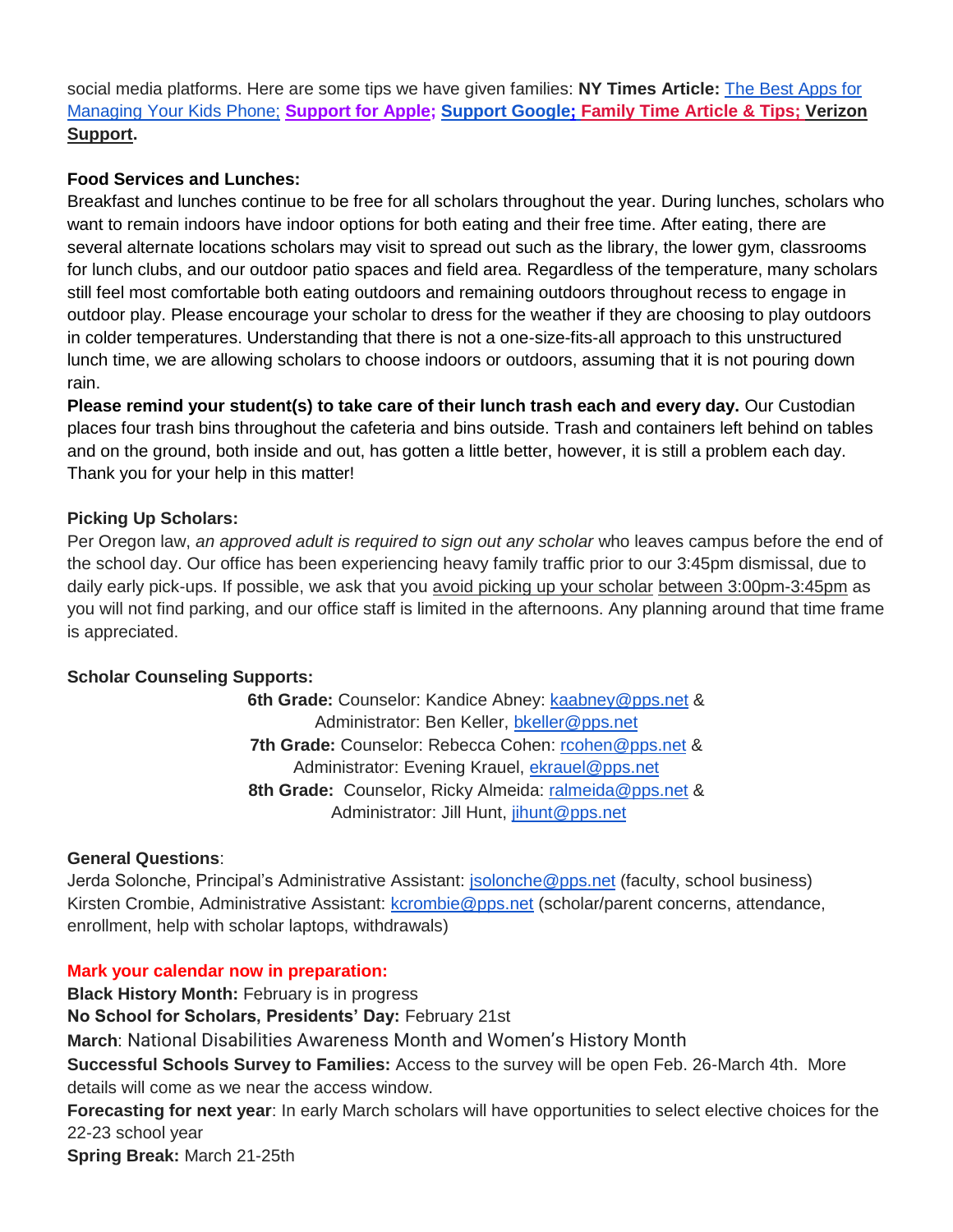social media platforms. Here are some tips we have given families: **NY Times Article:** [The Best Apps for](https://www.nytimes.com/wirecutter/reviews/best-apps-to-manage-your-kids-phone/)  [Managing Your Kids Phone;](https://www.nytimes.com/wirecutter/reviews/best-apps-to-manage-your-kids-phone/) **[Support for Apple;](https://support.apple.com/guide/iphone/set-up-parental-controls-iph00ba7d632/ios) [Support Google](https://support.google.com/families/answer/7103340?hl=en)[;](https://familytime.io/) [Family Time Article & Tips;](https://familytime.io/) [Verizon](https://www.verizon.com/support/verizon-smart-family-restrictions-video/)  [Support.](https://www.verizon.com/support/verizon-smart-family-restrictions-video/)** 

## **Food Services and Lunches:**

Breakfast and lunches continue to be free for all scholars throughout the year. During lunches, scholars who want to remain indoors have indoor options for both eating and their free time. After eating, there are several alternate locations scholars may visit to spread out such as the library, the lower gym, classrooms for lunch clubs, and our outdoor patio spaces and field area. Regardless of the temperature, many scholars still feel most comfortable both eating outdoors and remaining outdoors throughout recess to engage in outdoor play. Please encourage your scholar to dress for the weather if they are choosing to play outdoors in colder temperatures. Understanding that there is not a one-size-fits-all approach to this unstructured lunch time, we are allowing scholars to choose indoors or outdoors, assuming that it is not pouring down rain.

**Please remind your student(s) to take care of their lunch trash each and every day.** Our Custodian places four trash bins throughout the cafeteria and bins outside. Trash and containers left behind on tables and on the ground, both inside and out, has gotten a little better, however, it is still a problem each day. Thank you for your help in this matter!

## **Picking Up Scholars:**

Per Oregon law, *an approved adult is required to sign out any scholar* who leaves campus before the end of the school day. Our office has been experiencing heavy family traffic prior to our 3:45pm dismissal, due to daily early pick-ups. If possible, we ask that you avoid picking up your scholar between 3:00pm-3:45pm as you will not find parking, and our office staff is limited in the afternoons. Any planning around that time frame is appreciated.

### **Scholar Counseling Supports:**

**6th Grade:** Counselor: Kandice Abney: [kaabney@pps.net](mailto:kaabney@pps.net) & Administrator: Ben Keller, [bkeller@pps.net](mailto:bkeller@pps.net) **7th Grade:** Counselor: Rebecca Cohen: [rcohen@pps.net](mailto:rcohen@pps.net) & Administrator: Evening Krauel, [ekrauel@pps.net](mailto:ekrauel@pps.net) **8th Grade:** Counselor, Ricky Almeida: [ralmeida@pps.net](mailto:ralmeida@pps.net) & Administrator: Jill Hunt, [jihunt@pps.net](mailto:jihunt@pps.net)

### **General Questions**:

Jerda Solonche, Principal's Administrative Assistant: *jsolonche@pps.net* (faculty, school business) Kirsten Crombie, Administrative Assistant: [kcrombie@pps.net](mailto:kcrombie@pps.net) (scholar/parent concerns, attendance, enrollment, help with scholar laptops, withdrawals)

### **Mark your calendar now in preparation:**

**Black History Month: February is in progress No School for Scholars, Presidents' Day:** February 21st **March**: National Disabilities Awareness Month and Women's History Month **Successful Schools Survey to Families:** Access to the survey will be open Feb. 26-March 4th. More details will come as we near the access window. **Forecasting for next year**: In early March scholars will have opportunities to select elective choices for the 22-23 school year **Spring Break:** March 21-25th